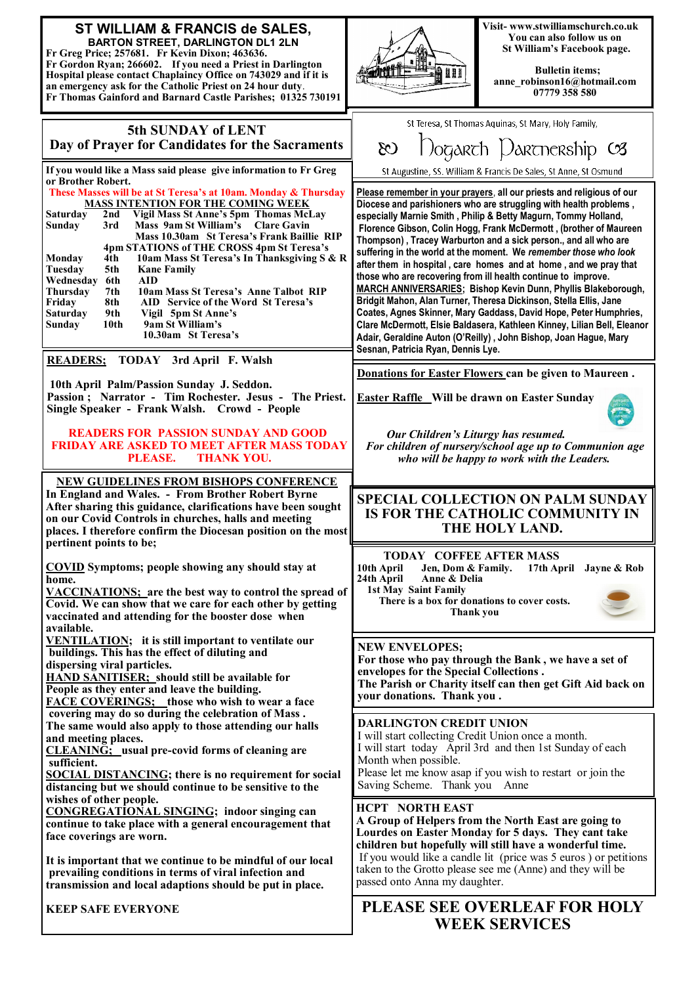